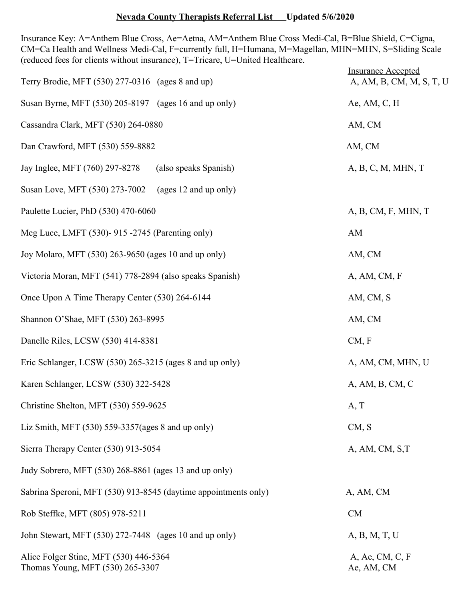## **Nevada County Therapists Referral List** Updated 5/6/2020

Insurance Key: A=Anthem Blue Cross, Ae=Aetna, AM=Anthem Blue Cross Medi-Cal, B=Blue Shield, C=Cigna, CM=Ca Health and Wellness Medi-Cal, F=currently full, H=Humana, M=Magellan, MHN=MHN, S=Sliding Scale (reduced fees for clients without insurance), T=Tricare, U=United Healthcare.

| Terry Brodie, MFT (530) 277-0316 (ages 8 and up)                           | <b>Insurance Accepted</b><br>A, AM, B, CM, M, S, T, U |
|----------------------------------------------------------------------------|-------------------------------------------------------|
| Susan Byrne, MFT (530) 205-8197 (ages 16 and up only)                      | Ae, AM, $C$ , H                                       |
| Cassandra Clark, MFT (530) 264-0880                                        | AM, CM                                                |
| Dan Crawford, MFT (530) 559-8882                                           | AM, CM                                                |
| Jay Inglee, MFT (760) 297-8278<br>(also speaks Spanish)                    | A, B, C, M, MHN, T                                    |
| Susan Love, MFT (530) 273-7002<br>(ages 12 and up only)                    |                                                       |
| Paulette Lucier, PhD (530) 470-6060                                        | A, B, CM, F, MHN, T                                   |
| Meg Luce, LMFT (530)- 915 -2745 (Parenting only)                           | AM                                                    |
| Joy Molaro, MFT (530) 263-9650 (ages 10 and up only)                       | AM, CM                                                |
| Victoria Moran, MFT (541) 778-2894 (also speaks Spanish)                   | A, AM, CM, F                                          |
| Once Upon A Time Therapy Center (530) 264-6144                             | AM, CM, S                                             |
| Shannon O'Shae, MFT (530) 263-8995                                         | AM, CM                                                |
| Danelle Riles, LCSW (530) 414-8381                                         | CM, F                                                 |
| Eric Schlanger, LCSW (530) 265-3215 (ages 8 and up only)                   | A, AM, CM, MHN, U                                     |
| Karen Schlanger, LCSW (530) 322-5428                                       | A, AM, B, CM, C                                       |
| Christine Shelton, MFT (530) 559-9625                                      | A, T                                                  |
| Liz Smith, MFT $(530)$ 559-3357(ages 8 and up only)                        | CM, S                                                 |
| Sierra Therapy Center (530) 913-5054                                       | A, AM, CM, S,T                                        |
| Judy Sobrero, MFT (530) 268-8861 (ages 13 and up only)                     |                                                       |
| Sabrina Speroni, MFT (530) 913-8545 (daytime appointments only)            | A, AM, CM                                             |
| Rob Steffke, MFT (805) 978-5211                                            | CM                                                    |
| John Stewart, MFT (530) 272-7448 (ages 10 and up only)                     | A, B, M, T, U                                         |
| Alice Folger Stine, MFT (530) 446-5364<br>Thomas Young, MFT (530) 265-3307 | A, Ae, CM, C, F<br>Ae, AM, CM                         |